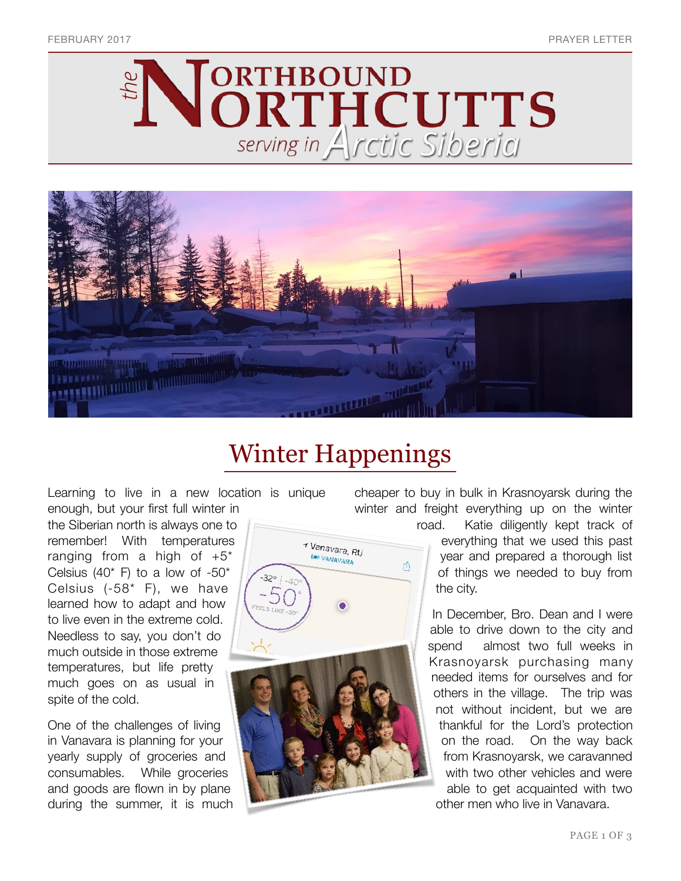



# Winter Happenings

Learning to live in a new location is unique enough, but your first full winter in

the Siberian north is always one to remember! With temperatures ranging from a high of  $+5^*$ Celsius (40 $*$  F) to a low of  $-50*$ Celsius (-58\* F), we have learned how to adapt and how to live even in the extreme cold. Needless to say, you don't do much outside in those extreme temperatures, but life pretty much goes on as usual in spite of the cold.

One of the challenges of living in Vanavara is planning for your yearly supply of groceries and consumables. While groceries and goods are flown in by plane during the summer, it is much



cheaper to buy in bulk in Krasnoyarsk during the winter and freight everything up on the winter

> road. Katie diligently kept track of everything that we used this past

year and prepared a thorough list of things we needed to buy from the city.

In December, Bro. Dean and I were able to drive down to the city and spend almost two full weeks in Krasnoyarsk purchasing many needed items for ourselves and for others in the village. The trip was not without incident, but we are thankful for the Lord's protection on the road. On the way back from Krasnoyarsk, we caravanned with two other vehicles and were able to get acquainted with two other men who live in Vanavara.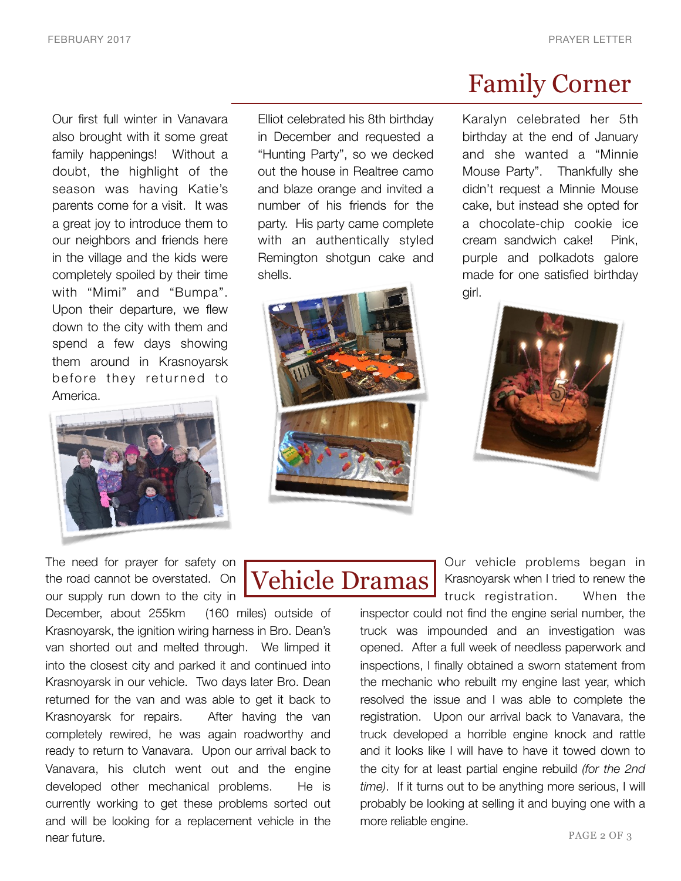Our first full winter in Vanavara also brought with it some great family happenings! Without a doubt, the highlight of the season was having Katie's parents come for a visit. It was a great joy to introduce them to our neighbors and friends here in the village and the kids were completely spoiled by their time with "Mimi" and "Bumpa". Upon their departure, we flew down to the city with them and spend a few days showing them around in Krasnoyarsk before they returned to America.



The need for prayer for safety on the road cannot be overstated. On our supply run down to the city in

December, about 255km (160 miles) outside of Krasnoyarsk, the ignition wiring harness in Bro. Dean's van shorted out and melted through. We limped it into the closest city and parked it and continued into Krasnoyarsk in our vehicle. Two days later Bro. Dean returned for the van and was able to get it back to Krasnoyarsk for repairs. After having the van completely rewired, he was again roadworthy and ready to return to Vanavara. Upon our arrival back to Vanavara, his clutch went out and the engine developed other mechanical problems. He is currently working to get these problems sorted out and will be looking for a replacement vehicle in the near future.

Elliot celebrated his 8th birthday in December and requested a "Hunting Party", so we decked out the house in Realtree camo and blaze orange and invited a number of his friends for the party. His party came complete with an authentically styled Remington shotgun cake and shells.



## Family Corner

Karalyn celebrated her 5th birthday at the end of January and she wanted a "Minnie Mouse Party". Thankfully she didn't request a Minnie Mouse cake, but instead she opted for a chocolate-chip cookie ice cream sandwich cake! Pink, purple and polkadots galore made for one satisfied birthday girl.





Our vehicle problems began in Krasnoyarsk when I tried to renew the truck registration. When the inspector could not find the engine serial number, the

truck was impounded and an investigation was opened. After a full week of needless paperwork and inspections, I finally obtained a sworn statement from the mechanic who rebuilt my engine last year, which resolved the issue and I was able to complete the registration. Upon our arrival back to Vanavara, the truck developed a horrible engine knock and rattle and it looks like I will have to have it towed down to the city for at least partial engine rebuild *(for the 2nd time)*. If it turns out to be anything more serious, I will probably be looking at selling it and buying one with a more reliable engine.